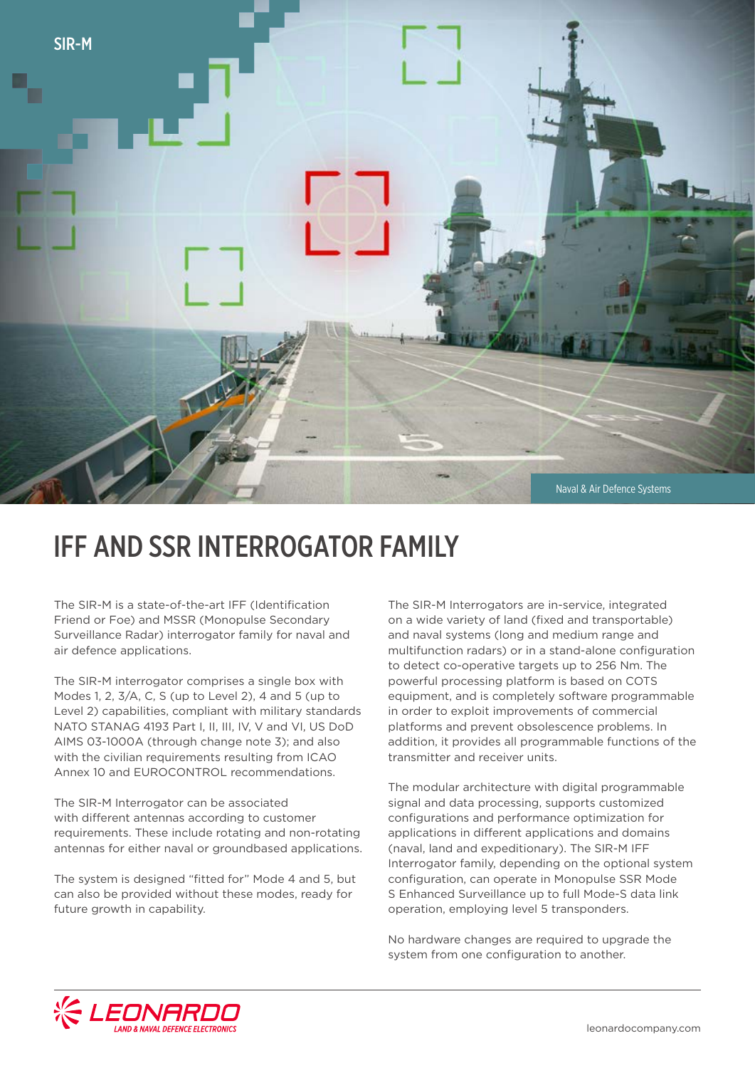

## IFF AND SSR INTERROGATOR FAMILY

The SIR-M is a state-of-the-art IFF (Identification Friend or Foe) and MSSR (Monopulse Secondary Surveillance Radar) interrogator family for naval and air defence applications.

The SIR-M interrogator comprises a single box with Modes 1, 2, 3/A, C, S (up to Level 2), 4 and 5 (up to Level 2) capabilities, compliant with military standards NATO STANAG 4193 Part I, II, III, IV, V and VI, US DoD AIMS 03-1000A (through change note 3); and also with the civilian requirements resulting from ICAO Annex 10 and EUROCONTROL recommendations.

The SIR-M Interrogator can be associated with different antennas according to customer requirements. These include rotating and non-rotating antennas for either naval or groundbased applications.

The system is designed "fitted for" Mode 4 and 5, but can also be provided without these modes, ready for future growth in capability.

The SIR-M Interrogators are in-service, integrated on a wide variety of land (fixed and transportable) and naval systems (long and medium range and multifunction radars) or in a stand-alone configuration to detect co-operative targets up to 256 Nm. The powerful processing platform is based on COTS equipment, and is completely software programmable in order to exploit improvements of commercial platforms and prevent obsolescence problems. In addition, it provides all programmable functions of the transmitter and receiver units.

The modular architecture with digital programmable signal and data processing, supports customized configurations and performance optimization for applications in different applications and domains (naval, land and expeditionary). The SIR-M IFF Interrogator family, depending on the optional system configuration, can operate in Monopulse SSR Mode S Enhanced Surveillance up to full Mode-S data link operation, employing level 5 transponders.

No hardware changes are required to upgrade the system from one configuration to another.